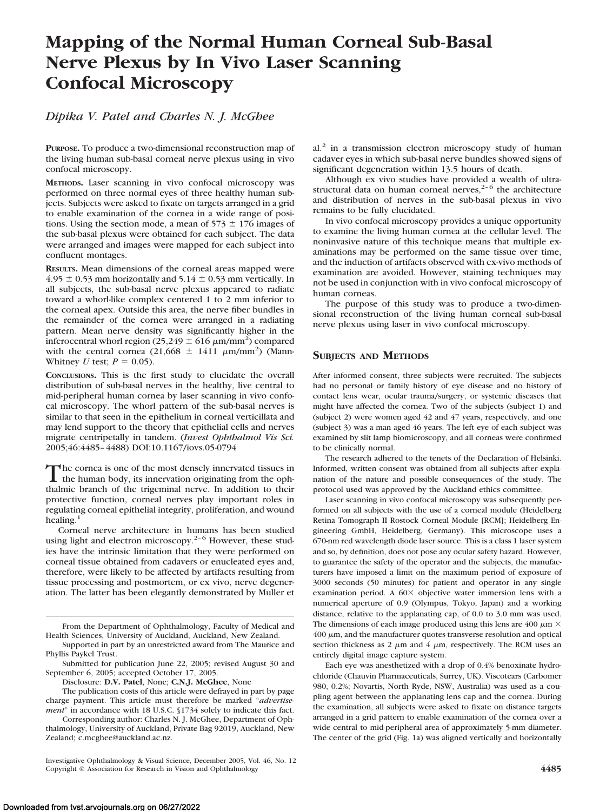# **Mapping of the Normal Human Corneal Sub-Basal Nerve Plexus by In Vivo Laser Scanning Confocal Microscopy**

# *Dipika V. Patel and Charles N. J. McGhee*

**PURPOSE.** To produce a two-dimensional reconstruction map of the living human sub-basal corneal nerve plexus using in vivo confocal microscopy.

**METHODS.** Laser scanning in vivo confocal microscopy was performed on three normal eyes of three healthy human subjects. Subjects were asked to fixate on targets arranged in a grid to enable examination of the cornea in a wide range of positions. Using the section mode, a mean of  $573 \pm 176$  images of the sub-basal plexus were obtained for each subject. The data were arranged and images were mapped for each subject into confluent montages.

**RESULTS.** Mean dimensions of the corneal areas mapped were  $4.95 \pm 0.53$  mm horizontally and  $5.14 \pm 0.53$  mm vertically. In all subjects, the sub-basal nerve plexus appeared to radiate toward a whorl-like complex centered 1 to 2 mm inferior to the corneal apex. Outside this area, the nerve fiber bundles in the remainder of the cornea were arranged in a radiating pattern. Mean nerve density was significantly higher in the inferocentral whorl region  $(25,249 \pm 616 \,\mu\text{m/mm}^2)$  compared with the central cornea (21,668  $\pm$  1411  $\mu$ m/mm<sup>2</sup>) (Mann-Whitney *U* test;  $P = 0.05$ ).

**CONCLUSIONS.** This is the first study to elucidate the overall distribution of sub-basal nerves in the healthy, live central to mid-peripheral human cornea by laser scanning in vivo confocal microscopy. The whorl pattern of the sub-basal nerves is similar to that seen in the epithelium in corneal verticillata and may lend support to the theory that epithelial cells and nerves migrate centripetally in tandem. (*Invest Ophthalmol Vis Sci.* 2005;46:4485– 4488) DOI:10.1167/iovs.05-0794

The cornea is one of the most densely innervated tissues in<br>the human body, its innervation originating from the ophthalmic branch of the trigeminal nerve. In addition to their protective function, corneal nerves play important roles in regulating corneal epithelial integrity, proliferation, and wound healing.<sup>1</sup>

Corneal nerve architecture in humans has been studied using light and electron microscopy.<sup>2-6</sup> However, these studies have the intrinsic limitation that they were performed on corneal tissue obtained from cadavers or enucleated eyes and, therefore, were likely to be affected by artifacts resulting from tissue processing and postmortem, or ex vivo, nerve degeneration. The latter has been elegantly demonstrated by Muller et

Corresponding author: Charles N. J. McGhee, Department of Ophthalmology, University of Auckland, Private Bag 92019, Auckland, New Zealand; c.mcghee@auckland.ac.nz.

Investigative Ophthalmology & Visual Science, December 2005, Vol. 46, No. 12 Copyright © Association for Research in Vision and Ophthalmology **4485**

 $al<sup>2</sup>$  in a transmission electron microscopy study of human cadaver eyes in which sub-basal nerve bundles showed signs of significant degeneration within 13.5 hours of death.

Although ex vivo studies have provided a wealth of ultrastructural data on human corneal nerves,<sup> $2-6$ </sup> the architecture and distribution of nerves in the sub-basal plexus in vivo remains to be fully elucidated.

In vivo confocal microscopy provides a unique opportunity to examine the living human cornea at the cellular level. The noninvasive nature of this technique means that multiple examinations may be performed on the same tissue over time, and the induction of artifacts observed with ex-vivo methods of examination are avoided. However, staining techniques may not be used in conjunction with in vivo confocal microscopy of human corneas.

The purpose of this study was to produce a two-dimensional reconstruction of the living human corneal sub-basal nerve plexus using laser in vivo confocal microscopy.

## **SUBJECTS AND METHODS**

After informed consent, three subjects were recruited. The subjects had no personal or family history of eye disease and no history of contact lens wear, ocular trauma/surgery, or systemic diseases that might have affected the cornea. Two of the subjects (subject 1) and (subject 2) were women aged 42 and 47 years, respectively, and one (subject 3) was a man aged 46 years. The left eye of each subject was examined by slit lamp biomicroscopy, and all corneas were confirmed to be clinically normal.

The research adhered to the tenets of the Declaration of Helsinki. Informed, written consent was obtained from all subjects after explanation of the nature and possible consequences of the study. The protocol used was approved by the Auckland ethics committee.

Laser scanning in vivo confocal microscopy was subsequently performed on all subjects with the use of a corneal module (Heidelberg Retina Tomograph II Rostock Corneal Module [RCM]; Heidelberg Engineering GmbH, Heidelberg, Germany). This microscope uses a 670-nm red wavelength diode laser source. This is a class 1 laser system and so, by definition, does not pose any ocular safety hazard. However, to guarantee the safety of the operator and the subjects, the manufacturers have imposed a limit on the maximum period of exposure of 3000 seconds (50 minutes) for patient and operator in any single examination period. A  $60\times$  objective water immersion lens with a numerical aperture of 0.9 (Olympus, Tokyo, Japan) and a working distance, relative to the applanating cap, of 0.0 to 3.0 mm was used. The dimensions of each image produced using this lens are 400  $\mu$ m  $\times$  $400 \mu$ m, and the manufacturer quotes transverse resolution and optical section thickness as 2  $\mu$ m and 4  $\mu$ m, respectively. The RCM uses an entirely digital image capture system.

Each eye was anesthetized with a drop of 0.4% benoxinate hydrochloride (Chauvin Pharmaceuticals, Surrey, UK). Viscotears (Carbomer 980, 0.2%; Novartis, North Ryde, NSW, Australia) was used as a coupling agent between the applanating lens cap and the cornea. During the examination, all subjects were asked to fixate on distance targets arranged in a grid pattern to enable examination of the cornea over a wide central to mid-peripheral area of approximately 5-mm diameter. The center of the grid (Fig. 1a) was aligned vertically and horizontally

From the Department of Ophthalmology, Faculty of Medical and Health Sciences, University of Auckland, Auckland, New Zealand.

Supported in part by an unrestricted award from The Maurice and Phyllis Paykel Trust.

Submitted for publication June 22, 2005; revised August 30 and September 6, 2005; accepted October 17, 2005.

Disclosure: **D.V. Patel**, None; **C.N.J. McGhee**, None

The publication costs of this article were defrayed in part by page charge payment. This article must therefore be marked "*advertisement*" in accordance with 18 U.S.C. §1734 solely to indicate this fact.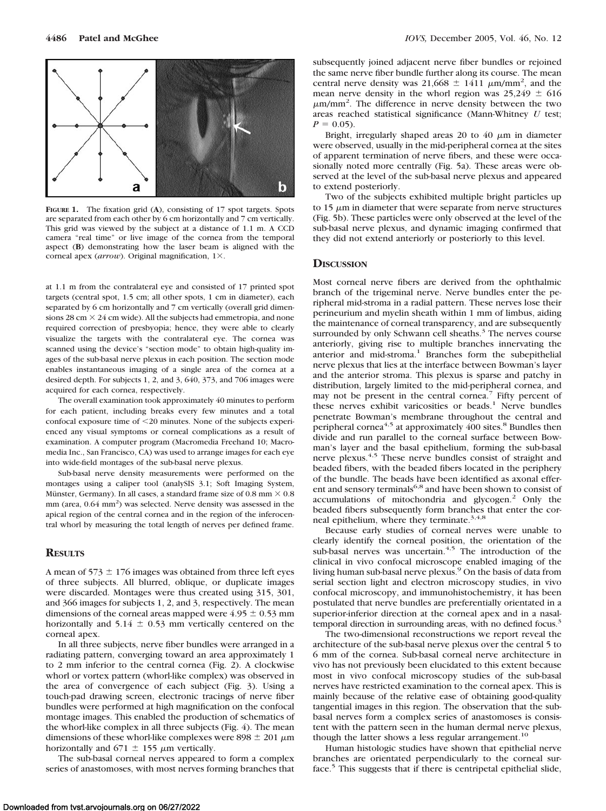

**FIGURE 1.** The fixation grid (**A**), consisting of 17 spot targets. Spots are separated from each other by 6 cm horizontally and 7 cm vertically. This grid was viewed by the subject at a distance of 1.1 m. A CCD camera "real time" or live image of the cornea from the temporal aspect (**B**) demonstrating how the laser beam is aligned with the corneal apex (arrow). Original magnification, 1×.

at 1.1 m from the contralateral eye and consisted of 17 printed spot targets (central spot, 1.5 cm; all other spots, 1 cm in diameter), each separated by 6 cm horizontally and 7 cm vertically (overall grid dimensions 28 cm  $\times$  24 cm wide). All the subjects had emmetropia, and none required correction of presbyopia; hence, they were able to clearly visualize the targets with the contralateral eye. The cornea was scanned using the device's "section mode" to obtain high-quality images of the sub-basal nerve plexus in each position. The section mode enables instantaneous imaging of a single area of the cornea at a desired depth. For subjects 1, 2, and 3, 640, 373, and 706 images were acquired for each cornea, respectively.

The overall examination took approximately 40 minutes to perform for each patient, including breaks every few minutes and a total confocal exposure time of 20 minutes. None of the subjects experienced any visual symptoms or corneal complications as a result of examination. A computer program (Macromedia Freehand 10; Macromedia Inc., San Francisco, CA) was used to arrange images for each eye into wide-field montages of the sub-basal nerve plexus.

Sub-basal nerve density measurements were performed on the montages using a caliper tool (analySIS 3.1; Soft Imaging System, Münster, Germany). In all cases, a standard frame size of 0.8 mm  $\times$  0.8 mm (area, 0.64 mm<sup>2</sup>) was selected. Nerve density was assessed in the apical region of the central cornea and in the region of the inferocentral whorl by measuring the total length of nerves per defined frame.

## **RESULTS**

A mean of 573  $\pm$  176 images was obtained from three left eyes of three subjects. All blurred, oblique, or duplicate images were discarded. Montages were thus created using 315, 301, and 366 images for subjects 1, 2, and 3, respectively. The mean dimensions of the corneal areas mapped were  $4.95 \pm 0.53$  mm horizontally and  $5.14 \pm 0.53$  mm vertically centered on the corneal apex.

In all three subjects, nerve fiber bundles were arranged in a radiating pattern, converging toward an area approximately 1 to 2 mm inferior to the central cornea (Fig. 2). A clockwise whorl or vortex pattern (whorl-like complex) was observed in the area of convergence of each subject (Fig. 3). Using a touch-pad drawing screen, electronic tracings of nerve fiber bundles were performed at high magnification on the confocal montage images. This enabled the production of schematics of the whorl-like complex in all three subjects (Fig. 4). The mean dimensions of these whorl-like complexes were 898  $\pm$  201  $\mu$ m horizontally and 671  $\pm$  155  $\mu$ m vertically.

The sub-basal corneal nerves appeared to form a complex series of anastomoses, with most nerves forming branches that subsequently joined adjacent nerve fiber bundles or rejoined the same nerve fiber bundle further along its course. The mean central nerve density was 21,668  $\pm$  1411  $\mu$ m/mm<sup>2</sup>, and the mean nerve density in the whorl region was  $25,249 \pm 616$  $\mu$ m/mm<sup>2</sup>. The difference in nerve density between the two areas reached statistical significance (Mann-Whitney *U* test;  $P = 0.05$ ).

Bright, irregularly shaped areas 20 to 40  $\mu$ m in diameter were observed, usually in the mid-peripheral cornea at the sites of apparent termination of nerve fibers, and these were occasionally noted more centrally (Fig. 5a). These areas were observed at the level of the sub-basal nerve plexus and appeared to extend posteriorly.

Two of the subjects exhibited multiple bright particles up to  $15 \mu m$  in diameter that were separate from nerve structures (Fig. 5b). These particles were only observed at the level of the sub-basal nerve plexus, and dynamic imaging confirmed that they did not extend anteriorly or posteriorly to this level.

### **DISCUSSION**

Most corneal nerve fibers are derived from the ophthalmic branch of the trigeminal nerve. Nerve bundles enter the peripheral mid-stroma in a radial pattern. These nerves lose their perineurium and myelin sheath within 1 mm of limbus, aiding the maintenance of corneal transparency, and are subsequently surrounded by only Schwann cell sheaths.<sup>3</sup> The nerves course anteriorly, giving rise to multiple branches innervating the anterior and mid-stroma.<sup>1</sup> Branches form the subepithelial nerve plexus that lies at the interface between Bowman's layer and the anterior stroma. This plexus is sparse and patchy in distribution, largely limited to the mid-peripheral cornea, and may not be present in the central cornea.<sup>7</sup> Fifty percent of these nerves exhibit varicosities or beads.<sup>1</sup> Nerve bundles penetrate Bowman's membrane throughout the central and peripheral cornea<sup>4,5</sup> at approximately  $\overline{400}$  sites.<sup>8</sup> Bundles then divide and run parallel to the corneal surface between Bowman's layer and the basal epithelium, forming the sub-basal nerve plexus.4,5 These nerve bundles consist of straight and beaded fibers, with the beaded fibers located in the periphery of the bundle. The beads have been identified as axonal efferent and sensory terminals<sup>6,8</sup> and have been shown to consist of accumulations of mitochondria and glycogen.<sup>2</sup> Only the beaded fibers subsequently form branches that enter the corneal epithelium, where they terminate.<sup>3,4,8</sup>

Because early studies of corneal nerves were unable to clearly identify the corneal position, the orientation of the sub-basal nerves was uncertain.<sup>4,5</sup> The introduction of the clinical in vivo confocal microscope enabled imaging of the living human sub-basal nerve plexus.<sup>9</sup> On the basis of data from serial section light and electron microscopy studies, in vivo confocal microscopy, and immunohistochemistry, it has been postulated that nerve bundles are preferentially orientated in a superior-inferior direction at the corneal apex and in a nasaltemporal direction in surrounding areas, with no defined focus.<sup>3</sup>

The two-dimensional reconstructions we report reveal the architecture of the sub-basal nerve plexus over the central 5 to 6 mm of the cornea. Sub-basal corneal nerve architecture in vivo has not previously been elucidated to this extent because most in vivo confocal microscopy studies of the sub-basal nerves have restricted examination to the corneal apex. This is mainly because of the relative ease of obtaining good-quality tangential images in this region. The observation that the subbasal nerves form a complex series of anastomoses is consistent with the pattern seen in the human dermal nerve plexus, though the latter shows a less regular arrangement.<sup>10</sup>

Human histologic studies have shown that epithelial nerve branches are orientated perpendicularly to the corneal surface.<sup>5</sup> This suggests that if there is centripetal epithelial slide,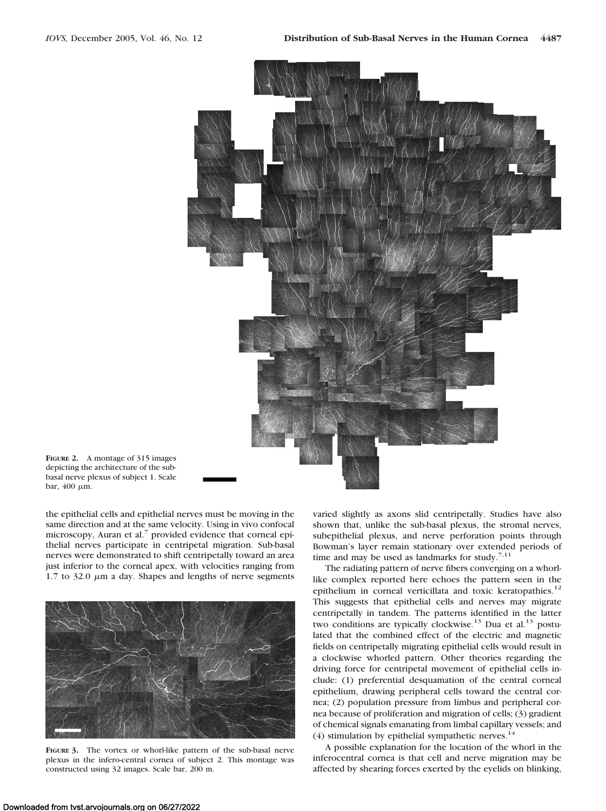



the epithelial cells and epithelial nerves must be moving in the same direction and at the same velocity. Using in vivo confocal microscopy, Auran et al.<sup>7</sup> provided evidence that corneal epithelial nerves participate in centripetal migration. Sub-basal nerves were demonstrated to shift centripetally toward an area just inferior to the corneal apex, with velocities ranging from 1.7 to 32.0  $\mu$ m a day. Shapes and lengths of nerve segments



**FIGURE 3.** The vortex or whorl-like pattern of the sub-basal nerve plexus in the infero-central cornea of subject 2. This montage was constructed using 32 images. Scale bar, 200 m.

varied slightly as axons slid centripetally. Studies have also shown that, unlike the sub-basal plexus, the stromal nerves, subepithelial plexus, and nerve perforation points through Bowman's layer remain stationary over extended periods of time and may be used as landmarks for study.<sup>7,11</sup>

The radiating pattern of nerve fibers converging on a whorllike complex reported here echoes the pattern seen in the epithelium in corneal verticillata and toxic keratopathies.<sup>12</sup> This suggests that epithelial cells and nerves may migrate centripetally in tandem. The patterns identified in the latter two conditions are typically clockwise.<sup>13</sup> Dua et al.<sup>13</sup> postulated that the combined effect of the electric and magnetic fields on centripetally migrating epithelial cells would result in a clockwise whorled pattern. Other theories regarding the driving force for centripetal movement of epithelial cells include: (1) preferential desquamation of the central corneal epithelium, drawing peripheral cells toward the central cornea; (2) population pressure from limbus and peripheral cornea because of proliferation and migration of cells; (3) gradient of chemical signals emanating from limbal capillary vessels; and (4) stimulation by epithelial sympathetic nerves. $^{14}$ 

A possible explanation for the location of the whorl in the inferocentral cornea is that cell and nerve migration may be affected by shearing forces exerted by the eyelids on blinking,